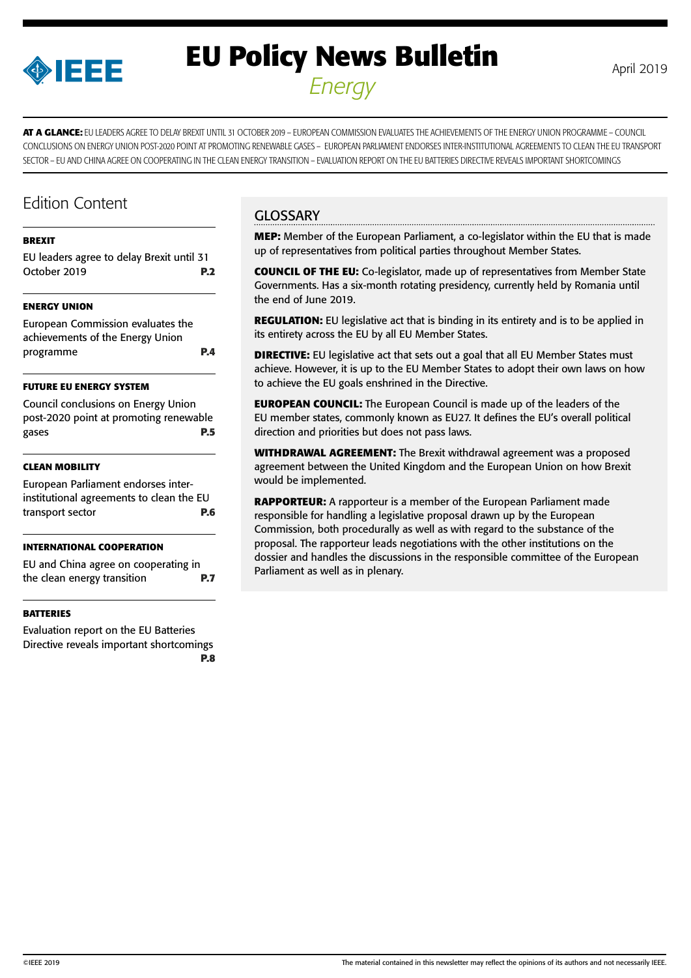

# **EU Policy News Bulletin** April 2019 *Energy*

**AT A GLANCE:** EU LEADERS AGREE TO DELAY BREXIT UNTIL 31 OCTOBER 2019 – EUROPEAN COMMISSION EVALUATES THE ACHIEVEMENTS OF THE ENERGY UNION PROGRAMME – COUNCIL CONCLUSIONS ON ENERGY UNION POST-2020 POINT AT PROMOTING RENEWABLE GASES – EUROPEAN PARLIAMENT ENDORSES INTER-INSTITUTIONAL AGREEMENTS TO CLEAN THE EU TRANSPORT SECTOR – EU AND CHINA AGREE ON COOPERATING IN THE CLEAN ENERGY TRANSITION – EVALUATION REPORT ON THE EU BATTERIES DIRECTIVE REVEALS IMPORTANT SHORTCOMINGS

# Edition Content

#### **[BREXIT](#page-1-0)**

[EU leaders agree to delay Brexit until 31](#page-1-0)  [October 2019](#page-1-0) **P.2**

### **[ENERGY UNION](#page-3-0)**

[European Commission evaluates the](#page-3-0)  [achievements of the Energy Union](#page-3-0)  [programme](#page-3-0) **P.4**

### **[FUTURE EU ENERGY SYSTEM](#page-4-0)**

[Council conclusions on Energy Union](#page-4-0)  [post-2020 point at promoting renewable](#page-4-0)  [gases](#page-4-0) **P.5**

### **[CLEAN MOBILITY](#page-5-0)**

[European Parliament endorses inter](#page-5-0)[institutional agreements to clean the EU](#page-5-0)  [transport sector](#page-5-0) **P.6**

### **[INTERNATIONAL COOPERATION](#page-6-0)**

[EU and China agree on cooperating in](#page-6-0)  [the clean energy transition](#page-6-0) **P.7**

### **[BATTERIES](#page-7-0)**

[Evaluation report on the EU Batteries](#page-7-0)  [Directive reveals important shortcomings](#page-7-0)  **[P.8](#page-7-0)**

# **GLOSSARY**

**MEP:** Member of the European Parliament, a co-legislator within the EU that is made up of representatives from political parties throughout Member States.

**COUNCIL OF THE EU:** Co-legislator, made up of representatives from Member State Governments. Has a six-month rotating presidency, currently held by Romania until the end of June 2019.

**REGULATION:** EU legislative act that is binding in its entirety and is to be applied in its entirety across the EU by all EU Member States.

**DIRECTIVE:** EU legislative act that sets out a goal that all EU Member States must achieve. However, it is up to the EU Member States to adopt their own laws on how to achieve the EU goals enshrined in the Directive.

**EUROPEAN COUNCIL:** The European Council is made up of the leaders of the EU member states, commonly known as EU27. It defines the EU's overall political direction and priorities but does not pass laws.

**WITHDRAWAL AGREEMENT:** The Brexit withdrawal agreement was a proposed agreement between the United Kingdom and the European Union on how Brexit would be implemented.

**RAPPORTEUR:** A rapporteur is a member of the European Parliament made responsible for handling a legislative proposal drawn up by the European Commission, both procedurally as well as with regard to the substance of the proposal. The rapporteur leads negotiations with the other institutions on the dossier and handles the discussions in the responsible committee of the European Parliament as well as in plenary.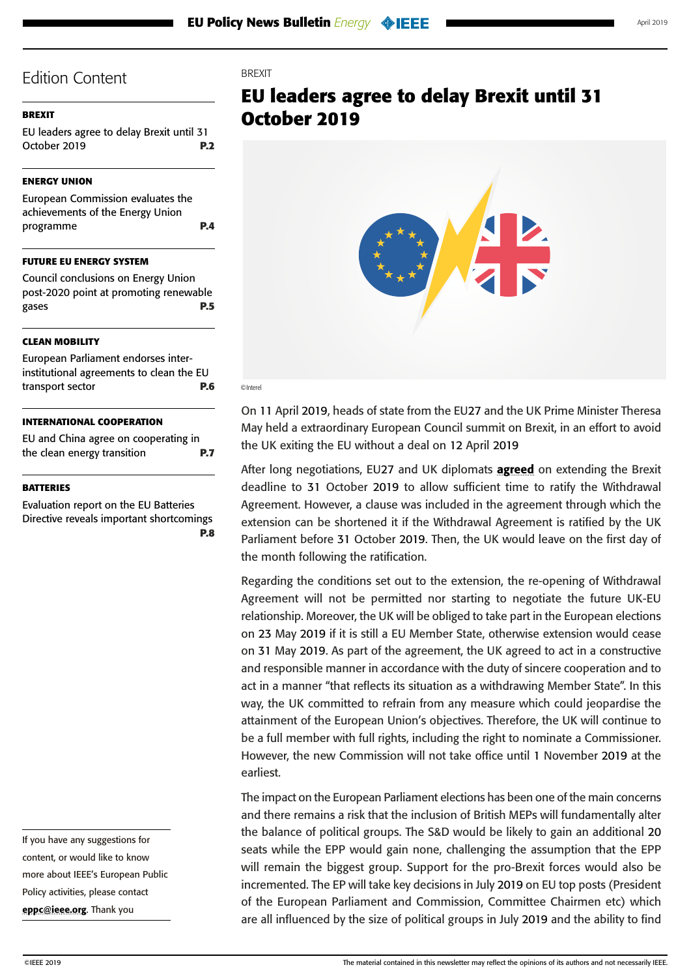# <span id="page-1-0"></span>**BREXIT**

EU leaders agree to delay Brexit until 31 October 2019 **P.2**

# **[ENERGY UNION](#page-3-0)**

[European Commission evaluates the](#page-3-0)  [achievements of the Energy Union](#page-3-0)  [programme](#page-3-0) **P.4**

### **[FUTURE EU ENERGY SYSTEM](#page-4-0)**

[Council conclusions on Energy Union](#page-4-0)  [post-2020 point at promoting renewable](#page-4-0)  [gases](#page-4-0) **P.5**

#### **[CLEAN MOBILITY](#page-5-0)**

[European Parliament endorses inter](#page-5-0)[institutional agreements to clean the EU](#page-5-0)  [transport sector](#page-5-0) **P.6**

#### **[INTERNATIONAL COOPERATION](#page-6-0)**

[EU and China agree on cooperating in](#page-6-0)  [the clean energy transition](#page-6-0) **P.7**

#### **[BATTERIES](#page-7-0)**

[Evaluation report on the EU Batteries](#page-7-0)  [Directive reveals important shortcomings](#page-7-0)  **[P.8](#page-7-0)**

If you have any suggestions for content, or would like to know more about IEEE's European Public Policy activities, please contact [eppc@ieee.org](mailto:eppc%40ieee.org?subject=). Thank you

### **BREXIT**

# **EU leaders agree to delay Brexit until 31 October 2019**



#### ©Interel

On 11 April 2019, heads of state from the EU27 and the UK Prime Minister Theresa May held a extraordinary European Council summit on Brexit, in an effort to avoid the UK exiting the EU without a deal on 12 April 2019

After long negotiations, EU27 and UK diplomats **[agreed](https://assets.publishing.service.gov.uk/government/uploads/system/uploads/attachment_data/file/794750/Council_Decision.pdf)** on extending the Brexit deadline to 31 October 2019 to allow sufficient time to ratify the Withdrawal Agreement. However, a clause was included in the agreement through which the extension can be shortened it if the Withdrawal Agreement is ratified by the UK Parliament before 31 October 2019. Then, the UK would leave on the first day of the month following the ratification.

Regarding the conditions set out to the extension, the re-opening of Withdrawal Agreement will not be permitted nor starting to negotiate the future UK-EU relationship. Moreover, the UK will be obliged to take part in the European elections on 23 May 2019 if it is still a EU Member State, otherwise extension would cease on 31 May 2019. As part of the agreement, the UK agreed to act in a constructive and responsible manner in accordance with the duty of sincere cooperation and to act in a manner "that reflects its situation as a withdrawing Member State". In this way, the UK committed to refrain from any measure which could jeopardise the attainment of the European Union's objectives. Therefore, the UK will continue to be a full member with full rights, including the right to nominate a Commissioner. However, the new Commission will not take office until 1 November 2019 at the earliest.

The impact on the European Parliament elections has been one of the main concerns and there remains a risk that the inclusion of British MEPs will fundamentally alter the balance of political groups. The S&D would be likely to gain an additional 20 seats while the EPP would gain none, challenging the assumption that the EPP will remain the biggest group. Support for the pro-Brexit forces would also be incremented. The EP will take key decisions in July 2019 on EU top posts (President of the European Parliament and Commission, Committee Chairmen etc) which are all influenced by the size of political groups in July 2019 and the ability to find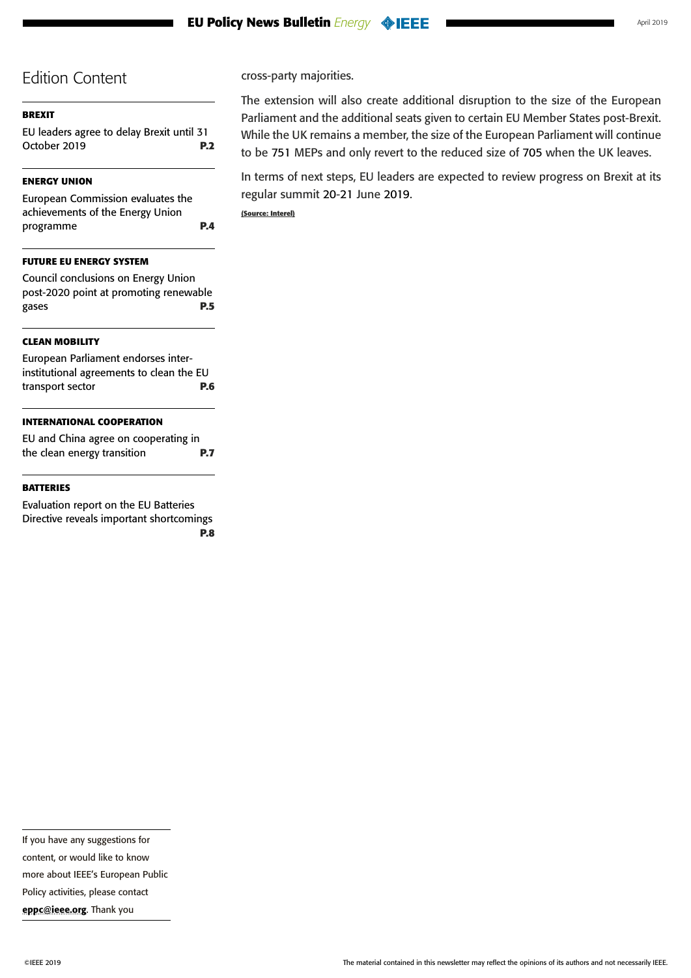# **[BREXIT](#page-1-0)**

[EU leaders agree to delay Brexit until 31](#page-1-0)  [October 2019](#page-1-0) **P.2**

# **[ENERGY UNION](#page-3-0)**

[European Commission evaluates the](#page-3-0)  [achievements of the Energy Union](#page-3-0)  [programme](#page-3-0) **P.4**

# **[FUTURE EU ENERGY SYSTEM](#page-4-0)**

[Council conclusions on Energy Union](#page-4-0)  [post-2020 point at promoting renewable](#page-4-0)  [gases](#page-4-0) **P.5**

# **[CLEAN MOBILITY](#page-5-0)**

[European Parliament endorses inter](#page-5-0)[institutional agreements to clean the EU](#page-5-0)  [transport sector](#page-5-0) **P.6**

# **[INTERNATIONAL COOPERATION](#page-6-0)**

[EU and China agree on cooperating in](#page-6-0)  [the clean energy transition](#page-6-0) **P.7**

#### **[BATTERIES](#page-7-0)**

[Evaluation report on the EU Batteries](#page-7-0)  [Directive reveals important shortcomings](#page-7-0)  **[P.8](#page-7-0)** cross-party majorities.

The extension will also create additional disruption to the size of the European Parliament and the additional seats given to certain EU Member States post-Brexit. While the UK remains a member, the size of the European Parliament will continue to be 751 MEPs and only revert to the reduced size of 705 when the UK leaves.

In terms of next steps, EU leaders are expected to review progress on Brexit at its regular summit 20-21 June 2019. **(Source: Interel)**

more about IEEE's European Public

Policy activities, please contact

content, or would like to know

[eppc@ieee.org](mailto:eppc%40ieee.org?subject=). Thank you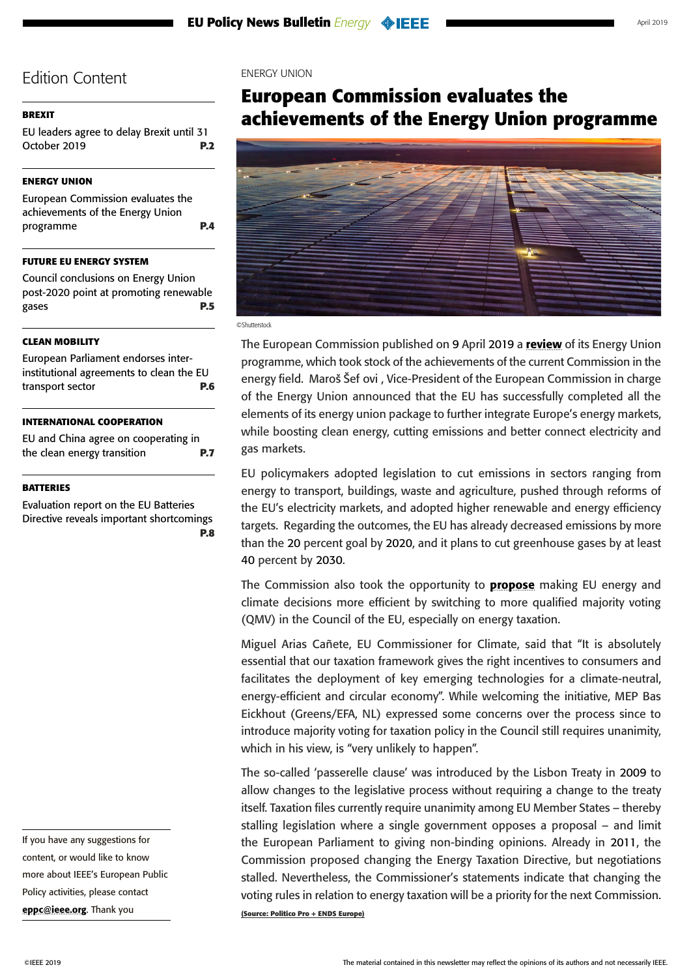### <span id="page-3-0"></span>**[BREXIT](#page-1-0)**

[EU leaders agree to delay Brexit until 31](#page-1-0)  [October 2019](#page-1-0) **P.2**

### **ENERGY UNION**

European Commission evaluates the achievements of the Energy Union programme **P.4**

### **[FUTURE EU ENERGY SYSTEM](#page-4-0)**

[Council conclusions on Energy Union](#page-4-0)  [post-2020 point at promoting renewable](#page-4-0)  [gases](#page-4-0) **P.5**

### **[CLEAN MOBILITY](#page-5-0)**

[European Parliament endorses inter](#page-5-0)[institutional agreements to clean the EU](#page-5-0)  [transport sector](#page-5-0) **P.6**

#### **[INTERNATIONAL COOPERATION](#page-6-0)**

[EU and China agree on cooperating in](#page-6-0)  [the clean energy transition](#page-6-0) **P.7**

### **[BATTERIES](#page-7-0)**

[Evaluation report on the EU Batteries](#page-7-0)  [Directive reveals important shortcomings](#page-7-0)  **[P.8](#page-7-0)** 

If you have any suggestions for content, or would like to know more about IEEE's European Public Policy activities, please contact [eppc@ieee.org](mailto:eppc%40ieee.org?subject=). Thank you

#### ENERGY UNION

# **European Commission evaluates the achievements of the Energy Union programme**



#### ©Shutterstock

The European Commission published on 9 April 2019 a [review](https://ec.europa.eu/commission/publications/4th-state-energy-union_en) of its Energy Union programme, which took stock of the achievements of the current Commission in the energy field. Maroš Šef ovi, Vice-President of the European Commission in charge of the Energy Union announced that the EU has successfully completed all the elements of its energy union package to further integrate Europe's energy markets, while boosting clean energy, cutting emissions and better connect electricity and gas markets.

EU policymakers adopted legislation to cut emissions in sectors ranging from energy to transport, buildings, waste and agriculture, pushed through reforms of the EU's electricity markets, and adopted higher renewable and energy efficiency targets. Regarding the outcomes, the EU has already decreased emissions by more than the 20 percent goal by 2020, and it plans to cut greenhouse gases by at least 40 percent by 2030.

The Commission also took the opportunity to **[propose](http://europa.eu/rapid/press-release_IP-19-1876_en.htm)** making EU energy and climate decisions more efficient by switching to more qualified majority voting (QMV) in the Council of the EU, especially on energy taxation.

Miguel Arias Cañete, EU Commissioner for Climate, said that "It is absolutely essential that our taxation framework gives the right incentives to consumers and facilitates the deployment of key emerging technologies for a climate-neutral, energy-efficient and circular economy". While welcoming the initiative, MEP Bas Eickhout (Greens/EFA, NL) expressed some concerns over the process since to introduce majority voting for taxation policy in the Council still requires unanimity, which in his view, is "very unlikely to happen".

The so-called 'passerelle clause' was introduced by the Lisbon Treaty in 2009 to allow changes to the legislative process without requiring a change to the treaty itself. Taxation files currently require unanimity among EU Member States – thereby stalling legislation where a single government opposes a proposal – and limit the European Parliament to giving non-binding opinions. Already in 2011, the Commission proposed changing the Energy Taxation Directive, but negotiations stalled. Nevertheless, the Commissioner's statements indicate that changing the voting rules in relation to energy taxation will be a priority for the next Commission. **(Source: Politico Pro + ENDS Europe)**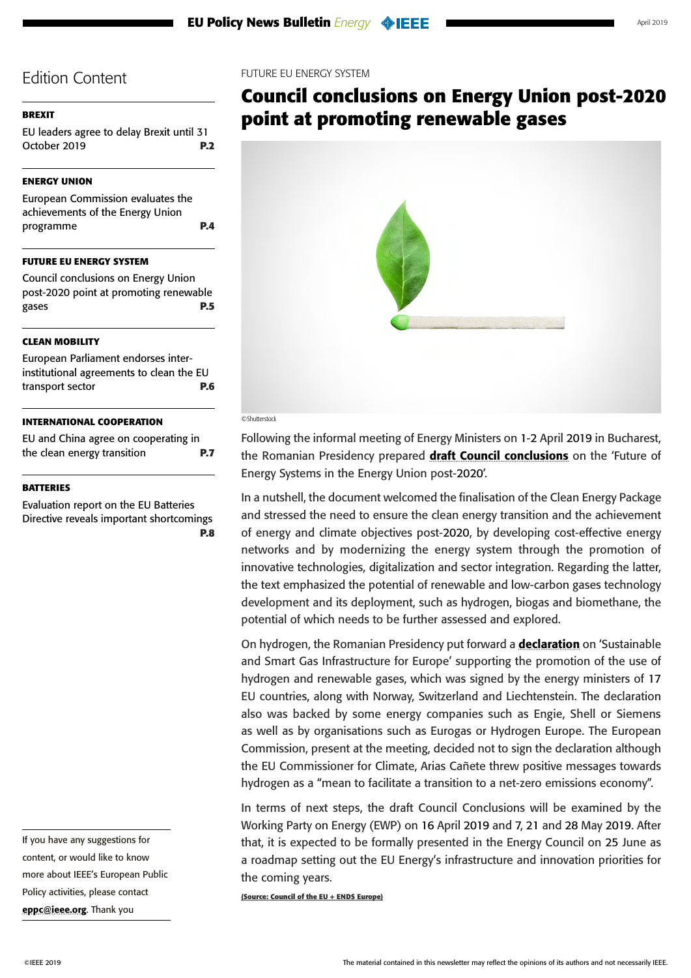# <span id="page-4-0"></span>**[BREXIT](#page-1-0)**

[EU leaders agree to delay Brexit until 31](#page-1-0)  [October 2019](#page-1-0) **P.2**

# **[ENERGY UNION](#page-3-0)**

[European Commission evaluates the](#page-3-0)  [achievements of the Energy Union](#page-3-0)  [programme](#page-3-0) **P.4**

# **FUTURE EU ENERGY SYSTEM**

Council conclusions on Energy Union post-2020 point at promoting renewable gases **P.5**

# **[CLEAN MOBILITY](#page-5-0)**

[European Parliament endorses inter](#page-5-0)[institutional agreements to clean the EU](#page-5-0)  [transport sector](#page-5-0) **P.6**

# **[INTERNATIONAL COOPERATION](#page-6-0)**

[EU and China agree on cooperating in](#page-6-0)  [the clean energy transition](#page-6-0) **P.7**

### **[BATTERIES](#page-7-0)**

[Evaluation report on the EU Batteries](#page-7-0)  [Directive reveals important shortcomings](#page-7-0)  **[P.8](#page-7-0)** 

If you have any suggestions for content, or would like to know more about IEEE's European Public Policy activities, please contact [eppc@ieee.org](mailto:eppc%40ieee.org?subject=). Thank you

### FUTURE EU ENERGY SYSTEM

# **Council conclusions on Energy Union post-2020 point at promoting renewable gases**



#### ©Shutterstock

Following the informal meeting of Energy Ministers on 1-2 April 2019 in Bucharest, the Romanian Presidency prepared [draft Council conclusions](https://data.consilium.europa.eu/doc/document/ST-8185-2019-INIT/en/pdf) on the 'Future of Energy Systems in the Energy Union post-2020'.

In a nutshell, the document welcomed the finalisation of the Clean Energy Package and stressed the need to ensure the clean energy transition and the achievement of energy and climate objectives post-2020, by developing cost-effective energy networks and by modernizing the energy system through the promotion of innovative technologies, digitalization and sector integration. Regarding the latter, the text emphasized the potential of renewable and low-carbon gases technology development and its deployment, such as hydrogen, biogas and biomethane, the potential of which needs to be further assessed and explored.

On hydrogen, the Romanian Presidency put forward a [declaration](https://www.endseurope.com/docs/sustainable-and-smart-gas-infrastructure-final-published.pdf) on 'Sustainable and Smart Gas Infrastructure for Europe' supporting the promotion of the use of hydrogen and renewable gases, which was signed by the energy ministers of 17 EU countries, along with Norway, Switzerland and Liechtenstein. The declaration also was backed by some energy companies such as Engie, Shell or Siemens as well as by organisations such as Eurogas or Hydrogen Europe. The European Commission, present at the meeting, decided not to sign the declaration although the EU Commissioner for Climate, Arias Cañete threw positive messages towards hydrogen as a "mean to facilitate a transition to a net-zero emissions economy".

In terms of next steps, the draft Council Conclusions will be examined by the Working Party on Energy (EWP) on 16 April 2019 and 7, 21 and 28 May 2019. After that, it is expected to be formally presented in the Energy Council on 25 June as a roadmap setting out the EU Energy's infrastructure and innovation priorities for the coming years.

**(Source: Council of the EU + ENDS Europe)**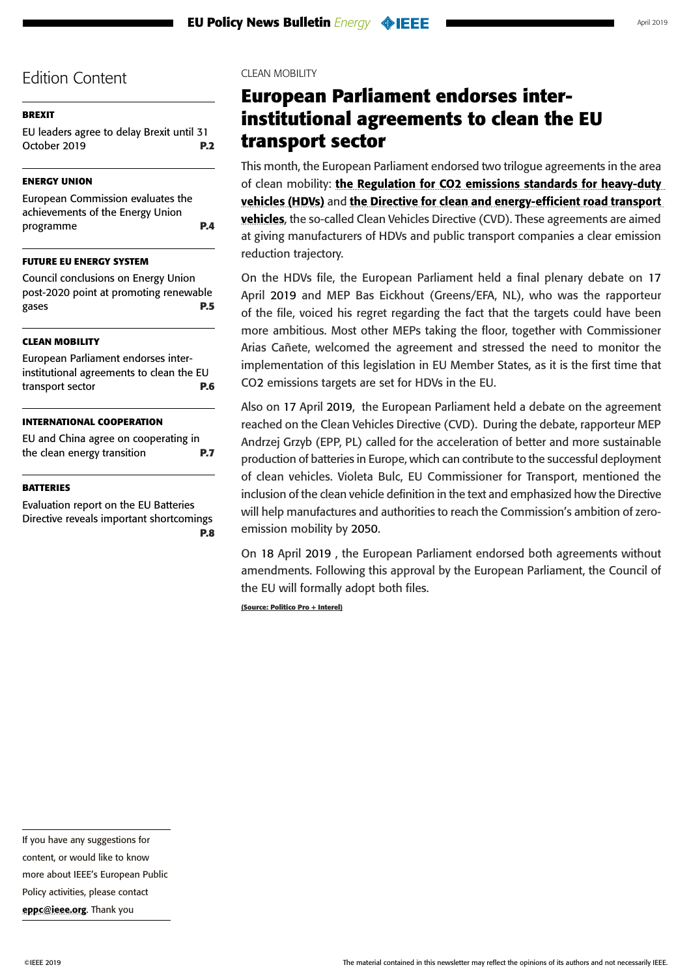# <span id="page-5-0"></span>**[BREXIT](#page-1-0)**

[EU leaders agree to delay Brexit until 31](#page-1-0)  [October 2019](#page-1-0) **P.2**

# **[ENERGY UNION](#page-3-0)**

[European Commission evaluates the](#page-3-0)  [achievements of the Energy Union](#page-3-0)  [programme](#page-3-0) **P.4**

### **[FUTURE EU ENERGY SYSTEM](#page-4-0)**

[Council conclusions on Energy Union](#page-4-0)  [post-2020 point at promoting renewable](#page-4-0)  [gases](#page-4-0) **P.5**

### **CLEAN MOBILITY**

European Parliament endorses interinstitutional agreements to clean the EU transport sector **P.6**

### **[INTERNATIONAL COOPERATION](#page-6-0)**

[EU and China agree on cooperating in](#page-6-0)  [the clean energy transition](#page-6-0) **P.7**

### **[BATTERIES](#page-7-0)**

[Evaluation report on the EU Batteries](#page-7-0)  [Directive reveals important shortcomings](#page-7-0)  **D.8** 

# CLEAN MOBILITY

# **European Parliament endorses interinstitutional agreements to clean the EU transport sector**

This month, the European Parliament endorsed two trilogue agreements in the area of clean mobility: the Regulation for CO2 emissions standards for heavy-duty [vehicles \(HDVs\)](http://www.europarl.europa.eu/sides/getDoc.do?pubRef=-//EP//NONSGML+TA+P8-TA-2019-0426+0+DOC+PDF+V0//EN) and [the Directive for clean and energy-efficient road transport](http://www.europarl.europa.eu/sides/getDoc.do?pubRef=-//EP//NONSGML+TA+P8-TA-2019-0427+0+DOC+PDF+V0//EN)  [vehicles](http://www.europarl.europa.eu/sides/getDoc.do?pubRef=-//EP//NONSGML+TA+P8-TA-2019-0427+0+DOC+PDF+V0//EN), the so-called Clean Vehicles Directive (CVD). These agreements are aimed at giving manufacturers of HDVs and public transport companies a clear emission reduction trajectory.

On the HDVs file, the European Parliament held a final plenary debate on 17 April 2019 and MEP Bas Eickhout (Greens/EFA, NL), who was the rapporteur of the file, voiced his regret regarding the fact that the targets could have been more ambitious. Most other MEPs taking the floor, together with Commissioner Arias Cañete, welcomed the agreement and stressed the need to monitor the implementation of this legislation in EU Member States, as it is the first time that CO2 emissions targets are set for HDVs in the EU.

Also on 17 April 2019, the European Parliament held a debate on the agreement reached on the Clean Vehicles Directive (CVD). During the debate, rapporteur MEP Andrzej Grzyb (EPP, PL) called for the acceleration of better and more sustainable production of batteries in Europe, which can contribute to the successful deployment of clean vehicles. Violeta Bulc, EU Commissioner for Transport, mentioned the inclusion of the clean vehicle definition in the text and emphasized how the Directive will help manufactures and authorities to reach the Commission's ambition of zeroemission mobility by 2050.

On 18 April 2019 , the European Parliament endorsed both agreements without amendments. Following this approval by the European Parliament, the Council of the EU will formally adopt both files.

**(Source: Politico Pro + Interel)**

If you have any suggestions for

content, or would like to know

more about IEEE's European Public

Policy activities, please contact [eppc@ieee.org](mailto:eppc%40ieee.org?subject=). Thank you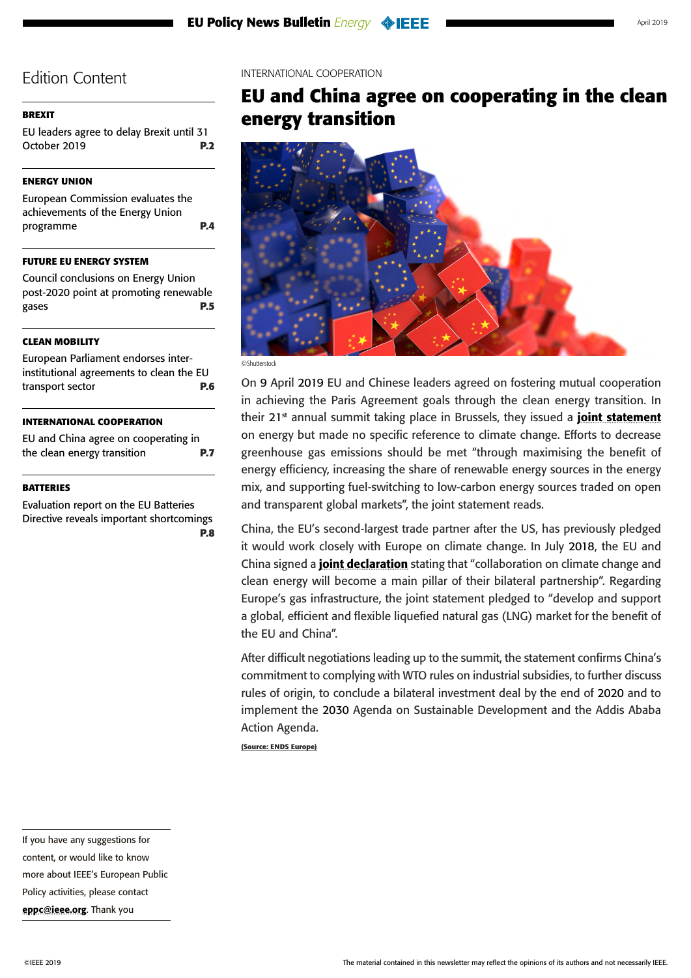# <span id="page-6-0"></span>**[BREXIT](#page-1-0)**

[EU leaders agree to delay Brexit until 31](#page-1-0)  [October 2019](#page-1-0) **P.2**

# **[ENERGY UNION](#page-3-0)**

[European Commission evaluates the](#page-3-0)  [achievements of the Energy Union](#page-3-0)  [programme](#page-3-0) **P.4**

### **[FUTURE EU ENERGY SYSTEM](#page-4-0)**

[Council conclusions on Energy Union](#page-4-0)  [post-2020 point at promoting renewable](#page-4-0)  [gases](#page-4-0) **P.5**

### **[CLEAN MOBILITY](#page-5-0)**

[European Parliament endorses inter](#page-5-0)[institutional agreements to clean the EU](#page-5-0)  [transport sector](#page-5-0) **P.6**

### **INTERNATIONAL COOPERATION**

EU and China agree on cooperating in the clean energy transition **P.7**

### **[BATTERIES](#page-7-0)**

[Evaluation report on the EU Batteries](#page-7-0)  [Directive reveals important shortcomings](#page-7-0)  **[P.8](#page-7-0)**  INTERNATIONAL COOPERATION

# **EU and China agree on cooperating in the clean energy transition**



©Shutterstock

On 9 April 2019 EU and Chinese leaders agreed on fostering mutual cooperation in achieving the Paris Agreement goals through the clean energy transition. In their  $21^{st}$  annual summit taking place in Brussels, they issued a **[joint statement](https://ec.europa.eu/energy/sites/ener/files/joint_statement_on_the_implementation_of_the_eu-china_cooperation_on_energy.pdf)** on energy but made no specific reference to climate change. Efforts to decrease greenhouse gas emissions should be met "through maximising the benefit of energy efficiency, increasing the share of renewable energy sources in the energy mix, and supporting fuel-switching to low-carbon energy sources traded on open and transparent global markets", the joint statement reads.

China, the EU's second-largest trade partner after the US, has previously pledged it would work closely with Europe on climate change. In July 2018, the EU and China signed a *[joint declaration](https://www.consilium.europa.eu/media/36165/final-eu-cn-joint-statement-consolidated-text-with-climate-change-clean-energy-annex.pdf)* stating that "collaboration on climate change and clean energy will become a main pillar of their bilateral partnership". Regarding Europe's gas infrastructure, the joint statement pledged to "develop and support a global, efficient and flexible liquefied natural gas (LNG) market for the benefit of the EU and China".

After difficult negotiations leading up to the summit, the statement confirms China's commitment to complying with WTO rules on industrial subsidies, to further discuss rules of origin, to conclude a bilateral investment deal by the end of 2020 and to implement the 2030 Agenda on Sustainable Development and the Addis Ababa Action Agenda.

**(Source: ENDS Europe)**

If you have any suggestions for content, or would like to know more about IEEE's European Public Policy activities, please contact [eppc@ieee.org](mailto:eppc%40ieee.org?subject=). Thank you